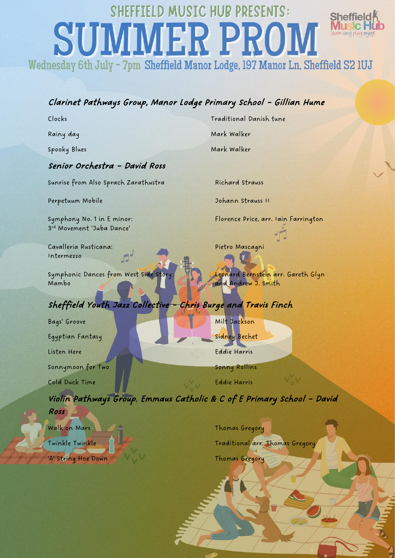# LD MUSIC HUB PRESENTS: Sheffield **SUMMER PROM** learn sing play enjoy Wednesday 6th July - 7pm Sheffield Manor Lodge, 197 Manor Ln, Sheffield S2 1UJ

### Clarinet Pathways Group, Manor Lodge Primary School – Gillian Hume

Clocks Traditional Danish tune

Rainy day Mark Walker

Spooky Blues Mark Walker

#### Senior Orchestra – David Ross

Sunrise from Also Sprach Zarathustra Richard Strauss

3 rd Movement 'Juba Dance'

Cavalleria Rusticana: Pietro Mascagni Intermezzo

Symphonic Dances from West Side Story: Leonard Bernstein arr. Gareth Glyn Mambo **and Andrew J. Smith** 

# Sheffield Youth Jazz Collective – Chris Burge and Travis Finch

Bags' Groove Milt Jackson Egyptian Fantasy Sidney Bechet Listen Here Eddie Harris Sonnymoon for Two Sonny Rollins Cold Duck Time Eddie Harris

Ross

Perpetuum Mobile 30 Johann Strauss II

Symphony No. 1 in E minor: Florence Price, arr. Iain Farrington

Violin Pathways Group, Emmaus Catholic & C of E Primary School – David

Walk on Mars **Thomas Gregory** 'A' String Hoe Down Thomas Gregory

Twinkle Twinkle The Traditional arr. Thomas Gregory